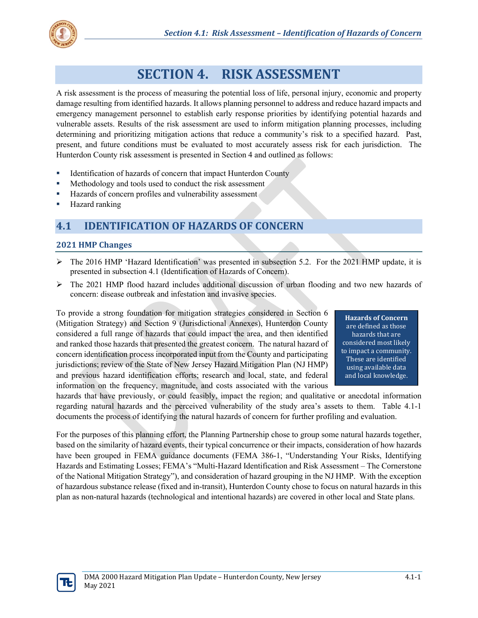

# **SECTION 4. RISK ASSESSMENT**

A risk assessment is the process of measuring the potential loss of life, personal injury, economic and property damage resulting from identified hazards. It allows planning personnel to address and reduce hazard impacts and emergency management personnel to establish early response priorities by identifying potential hazards and vulnerable assets. Results of the risk assessment are used to inform mitigation planning processes, including determining and prioritizing mitigation actions that reduce a community's risk to a specified hazard. Past, present, and future conditions must be evaluated to most accurately assess risk for each jurisdiction. The Hunterdon County risk assessment is presented in Section 4 and outlined as follows:

- Identification of hazards of concern that impact Hunterdon County
- **Methodology and tools used to conduct the risk assessment**
- Hazards of concern profiles and vulnerability assessment
- Hazard ranking

## **4.1 IDENTIFICATION OF HAZARDS OF CONCERN**

#### **2021 HMP Changes**

- $\triangleright$  The 2016 HMP 'Hazard Identification' was presented in subsection 5.2. For the 2021 HMP update, it is presented in subsection 4.1 (Identification of Hazards of Concern).
- $\triangleright$  The 2021 HMP flood hazard includes additional discussion of urban flooding and two new hazards of concern: disease outbreak and infestation and invasive species.

To provide a strong foundation for mitigation strategies considered in Section 6 (Mitigation Strategy) and Section 9 (Jurisdictional Annexes), Hunterdon County considered a full range of hazards that could impact the area, and then identified and ranked those hazards that presented the greatest concern. The natural hazard of concern identification process incorporated input from the County and participating jurisdictions; review of the State of New Jersey Hazard Mitigation Plan (NJ HMP) and previous hazard identification efforts; research and local, state, and federal information on the frequency, magnitude, and costs associated with the various

**Hazards of Concern**  are defined as those hazards that are considered most likely to impact a community. These are identified using available data and local knowledge.

hazards that have previously, or could feasibly, impact the region; and qualitative or anecdotal information regarding natural hazards and the perceived vulnerability of the study area's assets to them. Table 4.1-1 documents the process of identifying the natural hazards of concern for further profiling and evaluation.

For the purposes of this planning effort, the Planning Partnership chose to group some natural hazards together, based on the similarity of hazard events, their typical concurrence or their impacts, consideration of how hazards have been grouped in FEMA guidance documents (FEMA 386-1, "Understanding Your Risks, Identifying Hazards and Estimating Losses; FEMA's "Multi-Hazard Identification and Risk Assessment – The Cornerstone of the National Mitigation Strategy"), and consideration of hazard grouping in the NJ HMP. With the exception of hazardous substance release (fixed and in-transit), Hunterdon County chose to focus on natural hazards in this plan as non-natural hazards (technological and intentional hazards) are covered in other local and State plans.

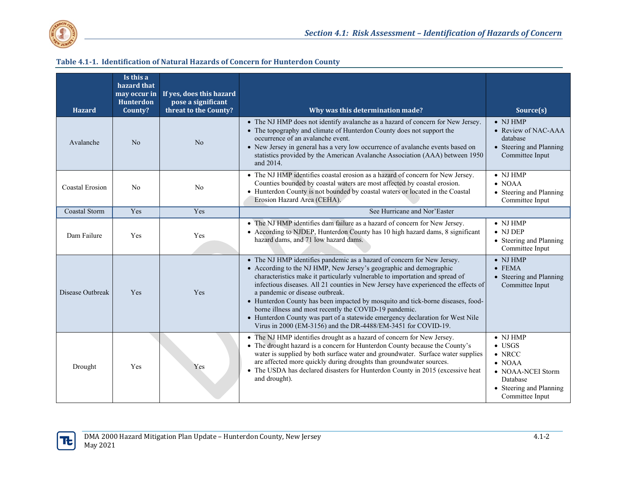

| <b>Hazard</b>          | Is this a<br>hazard that<br>may occur in<br><b>Hunterdon</b><br>County? | If yes, does this hazard<br>pose a significant<br>threat to the County? | Why was this determination made?                                                                                                                                                                                                                                                                                                                                                                                                                                                                                                                                                                                                                       | Source(s)                                                                                                                                             |
|------------------------|-------------------------------------------------------------------------|-------------------------------------------------------------------------|--------------------------------------------------------------------------------------------------------------------------------------------------------------------------------------------------------------------------------------------------------------------------------------------------------------------------------------------------------------------------------------------------------------------------------------------------------------------------------------------------------------------------------------------------------------------------------------------------------------------------------------------------------|-------------------------------------------------------------------------------------------------------------------------------------------------------|
| Avalanche              | No                                                                      | N <sub>o</sub>                                                          | • The NJ HMP does not identify avalanche as a hazard of concern for New Jersey.<br>• The topography and climate of Hunterdon County does not support the<br>occurrence of an avalanche event.<br>• New Jersey in general has a very low occurrence of avalanche events based on<br>statistics provided by the American Avalanche Association (AAA) between 1950<br>and 2014.                                                                                                                                                                                                                                                                           | $\bullet$ NJ HMP<br>• Review of NAC-AAA<br>database<br>• Steering and Planning<br>Committee Input                                                     |
| <b>Coastal Erosion</b> | N <sub>o</sub>                                                          | N <sub>o</sub>                                                          | • The NJ HMP identifies coastal erosion as a hazard of concern for New Jersey.<br>Counties bounded by coastal waters are most affected by coastal erosion.<br>• Hunterdon County is not bounded by coastal waters or located in the Coastal<br>Erosion Hazard Area (CEHA).                                                                                                                                                                                                                                                                                                                                                                             | $\bullet$ NJ HMP<br>$\bullet$ NOAA<br>• Steering and Planning<br>Committee Input                                                                      |
| <b>Coastal Storm</b>   | Yes                                                                     | Yes                                                                     | See Hurricane and Nor'Easter                                                                                                                                                                                                                                                                                                                                                                                                                                                                                                                                                                                                                           |                                                                                                                                                       |
| Dam Failure            | Yes                                                                     | Yes                                                                     | • The NJ HMP identifies dam failure as a hazard of concern for New Jersey.<br>• According to NJDEP, Hunterdon County has 10 high hazard dams, 8 significant<br>hazard dams, and 71 low hazard dams.                                                                                                                                                                                                                                                                                                                                                                                                                                                    | $\bullet$ NJ HMP<br>$\bullet$ NJ DEP<br>• Steering and Planning<br>Committee Input                                                                    |
| Disease Outbreak       | Yes                                                                     | Yes                                                                     | • The NJ HMP identifies pandemic as a hazard of concern for New Jersey.<br>• According to the NJ HMP, New Jersey's geographic and demographic<br>characteristics make it particularly vulnerable to importation and spread of<br>infectious diseases. All 21 counties in New Jersey have experienced the effects of<br>a pandemic or disease outbreak.<br>• Hunterdon County has been impacted by mosquito and tick-borne diseases, food-<br>borne illness and most recently the COVID-19 pandemic.<br>• Hunterdon County was part of a statewide emergency declaration for West Nile<br>Virus in 2000 (EM-3156) and the DR-4488/EM-3451 for COVID-19. | $\bullet$ NJ HMP<br>$\bullet$ FEMA<br>• Steering and Planning<br>Committee Input                                                                      |
| Drought                | Yes                                                                     | Yes                                                                     | • The NJ HMP identifies drought as a hazard of concern for New Jersey.<br>• The drought hazard is a concern for Hunterdon County because the County's<br>water is supplied by both surface water and groundwater. Surface water supplies<br>are affected more quickly during droughts than groundwater sources.<br>• The USDA has declared disasters for Hunterdon County in 2015 (excessive heat<br>and drought).                                                                                                                                                                                                                                     | $\bullet$ NJ HMP<br>$\bullet$ USGS<br>$\bullet$ NRCC<br>$\bullet$ NOAA<br>• NOAA-NCEI Storm<br>Database<br>• Steering and Planning<br>Committee Input |

#### **Table 4.1-1. Identification of Natural Hazards of Concern for Hunterdon County**

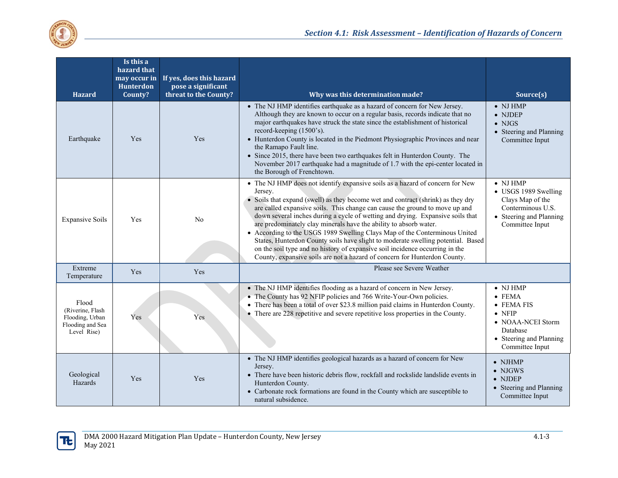

| <b>Hazard</b>                                                                   | Is this a<br>hazard that<br>may occur in<br>Hunterdon<br>County? | If yes, does this hazard<br>pose a significant<br>threat to the County?                                                                                                                                                                                                                                       | Why was this determination made?                                                                                                                                                                                                                                                                                                                                                                                                                                                                                                                                                                                                                                                                                                                  | Source(s)                                                                                                                       |
|---------------------------------------------------------------------------------|------------------------------------------------------------------|---------------------------------------------------------------------------------------------------------------------------------------------------------------------------------------------------------------------------------------------------------------------------------------------------------------|---------------------------------------------------------------------------------------------------------------------------------------------------------------------------------------------------------------------------------------------------------------------------------------------------------------------------------------------------------------------------------------------------------------------------------------------------------------------------------------------------------------------------------------------------------------------------------------------------------------------------------------------------------------------------------------------------------------------------------------------------|---------------------------------------------------------------------------------------------------------------------------------|
| Earthquake                                                                      | Yes                                                              | Yes                                                                                                                                                                                                                                                                                                           | • The NJ HMP identifies earthquake as a hazard of concern for New Jersey.<br>Although they are known to occur on a regular basis, records indicate that no<br>major earthquakes have struck the state since the establishment of historical<br>record-keeping (1500's).<br>• Hunterdon County is located in the Piedmont Physiographic Provinces and near<br>the Ramapo Fault line.<br>• Since 2015, there have been two earthquakes felt in Hunterdon County. The<br>November 2017 earthquake had a magnitude of 1.7 with the epi-center located in<br>the Borough of Frenchtown.                                                                                                                                                                | $\bullet$ NJ HMP<br>$\bullet$ NJDEP<br>$\bullet$ NJGS<br>• Steering and Planning<br>Committee Input                             |
| <b>Expansive Soils</b>                                                          | Yes                                                              | N <sub>o</sub>                                                                                                                                                                                                                                                                                                | • The NJ HMP does not identify expansive soils as a hazard of concern for New<br>Jersey.<br>• Soils that expand (swell) as they become wet and contract (shrink) as they dry<br>are called expansive soils. This change can cause the ground to move up and<br>down several inches during a cycle of wetting and drying. Expansive soils that<br>are predominately clay minerals have the ability to absorb water.<br>• According to the USGS 1989 Swelling Clays Map of the Conterminous United<br>States, Hunterdon County soils have slight to moderate swelling potential. Based<br>on the soil type and no history of expansive soil incidence occurring in the<br>County, expansive soils are not a hazard of concern for Hunterdon County. | $\bullet$ NJ HMP<br>• USGS 1989 Swelling<br>Clays Map of the<br>Conterminous U.S.<br>• Steering and Planning<br>Committee Input |
| Extreme<br>Temperature                                                          | Yes                                                              | Yes                                                                                                                                                                                                                                                                                                           | Please see Severe Weather                                                                                                                                                                                                                                                                                                                                                                                                                                                                                                                                                                                                                                                                                                                         |                                                                                                                                 |
| Flood<br>(Riverine, Flash<br>Flooding, Urban<br>Flooding and Sea<br>Level Rise) | Yes                                                              | Yes                                                                                                                                                                                                                                                                                                           | • The NJ HMP identifies flooding as a hazard of concern in New Jersey.<br>• The County has 92 NFIP policies and 766 Write-Your-Own policies.<br>• There has been a total of over \$23.8 million paid claims in Hunterdon County.<br>• There are 228 repetitive and severe repetitive loss properties in the County.                                                                                                                                                                                                                                                                                                                                                                                                                               |                                                                                                                                 |
| Geological<br>Hazards                                                           | Yes                                                              | • The NJ HMP identifies geological hazards as a hazard of concern for New<br>Jersey.<br>• There have been historic debris flow, rockfall and rockslide landslide events in<br>Yes<br>Hunterdon County.<br>• Carbonate rock formations are found in the County which are susceptible to<br>natural subsidence. |                                                                                                                                                                                                                                                                                                                                                                                                                                                                                                                                                                                                                                                                                                                                                   | $\bullet$ NJHMP<br>$\bullet$ NJGWS<br>$\bullet$ NJDEP<br>• Steering and Planning<br>Committee Input                             |

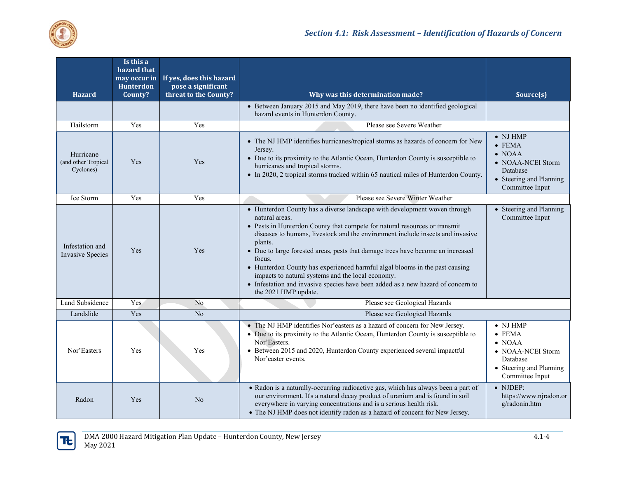

| <b>Hazard</b>                                 | Is this a<br>hazard that<br>may occur in<br>Hunterdon<br>County? | If yes, does this hazard<br>pose a significant<br>threat to the County? | Why was this determination made?                                                                                                                                                                                                                                                                                                                                                                                                                                                                                                                                                                                    | Source(s)                                                                                                                           |
|-----------------------------------------------|------------------------------------------------------------------|-------------------------------------------------------------------------|---------------------------------------------------------------------------------------------------------------------------------------------------------------------------------------------------------------------------------------------------------------------------------------------------------------------------------------------------------------------------------------------------------------------------------------------------------------------------------------------------------------------------------------------------------------------------------------------------------------------|-------------------------------------------------------------------------------------------------------------------------------------|
|                                               |                                                                  |                                                                         | • Between January 2015 and May 2019, there have been no identified geological<br>hazard events in Hunterdon County.                                                                                                                                                                                                                                                                                                                                                                                                                                                                                                 |                                                                                                                                     |
| Hailstorm                                     | Yes                                                              | Yes                                                                     | Please see Severe Weather                                                                                                                                                                                                                                                                                                                                                                                                                                                                                                                                                                                           |                                                                                                                                     |
| Hurricane<br>(and other Tropical<br>Cyclones) | Yes                                                              | Yes                                                                     | • The NJ HMP identifies hurricanes/tropical storms as hazards of concern for New<br>Jersey.<br>• Due to its proximity to the Atlantic Ocean, Hunterdon County is susceptible to<br>hurricanes and tropical storms.<br>• In 2020, 2 tropical storms tracked within 65 nautical miles of Hunterdon County.                                                                                                                                                                                                                                                                                                            | $\bullet$ NJ HMP<br>$\bullet$ FEMA<br>$\bullet$ NOAA<br>• NOAA-NCEI Storm<br>Database<br>• Steering and Planning<br>Committee Input |
| Ice Storm                                     | Yes                                                              | Yes                                                                     | Please see Severe Winter Weather                                                                                                                                                                                                                                                                                                                                                                                                                                                                                                                                                                                    |                                                                                                                                     |
| Infestation and<br><b>Invasive Species</b>    | Yes                                                              | Yes                                                                     | • Hunterdon County has a diverse landscape with development woven through<br>natural areas.<br>• Pests in Hunterdon County that compete for natural resources or transmit<br>diseases to humans, livestock and the environment include insects and invasive<br>plants.<br>• Due to large forested areas, pests that damage trees have become an increased<br>focus.<br>• Hunterdon County has experienced harmful algal blooms in the past causing<br>impacts to natural systems and the local economy.<br>• Infestation and invasive species have been added as a new hazard of concern to<br>the 2021 HMP update. | • Steering and Planning<br>Committee Input                                                                                          |
| Land Subsidence                               | Yes                                                              | N <sub>o</sub>                                                          | Please see Geological Hazards                                                                                                                                                                                                                                                                                                                                                                                                                                                                                                                                                                                       |                                                                                                                                     |
| Landslide                                     | Yes                                                              | No                                                                      | Please see Geological Hazards                                                                                                                                                                                                                                                                                                                                                                                                                                                                                                                                                                                       |                                                                                                                                     |
| Nor'Easters                                   | Yes                                                              | Yes                                                                     | • The NJ HMP identifies Nor'easters as a hazard of concern for New Jersey.<br>• Due to its proximity to the Atlantic Ocean, Hunterdon County is susceptible to<br>Nor'Easters.<br>• Between 2015 and 2020, Hunterdon County experienced several impactful<br>Nor'easter events.                                                                                                                                                                                                                                                                                                                                     | $\bullet$ NJ HMP<br>$\bullet$ FEMA<br>$\bullet$ NOAA<br>• NOAA-NCEI Storm<br>Database<br>• Steering and Planning<br>Committee Input |
| Radon                                         | Yes                                                              | N <sub>o</sub>                                                          | • Radon is a naturally-occurring radioactive gas, which has always been a part of<br>our environment. It's a natural decay product of uranium and is found in soil<br>everywhere in varying concentrations and is a serious health risk.<br>• The NJ HMP does not identify radon as a hazard of concern for New Jersey.                                                                                                                                                                                                                                                                                             | $\bullet$ NJDEP:<br>https://www.njradon.or<br>g/radonin.htm                                                                         |

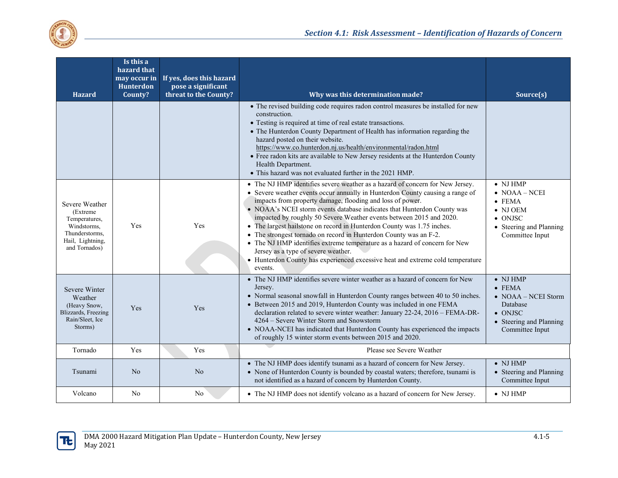

| <b>Hazard</b>                                                                                                      | Is this a<br>hazard that<br>may occur in<br>Hunterdon<br>County? | If yes, does this hazard<br>pose a significant<br>threat to the County?                                                                                                                                                                                                                                                                                                                                                                                                                                                       | Why was this determination made?                                                                                                                                                                                                                                                                                                                                                                                                                                                                                                                                                                                                                                                                                                               | Source(s)                                                                                                                                        |
|--------------------------------------------------------------------------------------------------------------------|------------------------------------------------------------------|-------------------------------------------------------------------------------------------------------------------------------------------------------------------------------------------------------------------------------------------------------------------------------------------------------------------------------------------------------------------------------------------------------------------------------------------------------------------------------------------------------------------------------|------------------------------------------------------------------------------------------------------------------------------------------------------------------------------------------------------------------------------------------------------------------------------------------------------------------------------------------------------------------------------------------------------------------------------------------------------------------------------------------------------------------------------------------------------------------------------------------------------------------------------------------------------------------------------------------------------------------------------------------------|--------------------------------------------------------------------------------------------------------------------------------------------------|
|                                                                                                                    |                                                                  |                                                                                                                                                                                                                                                                                                                                                                                                                                                                                                                               | • The revised building code requires radon control measures be installed for new<br>construction.<br>• Testing is required at time of real estate transactions.<br>• The Hunterdon County Department of Health has information regarding the<br>hazard posted on their website.<br>https://www.co.hunterdon.nj.us/health/environmental/radon.html<br>• Free radon kits are available to New Jersey residents at the Hunterdon County<br>Health Department.<br>• This hazard was not evaluated further in the 2021 HMP.                                                                                                                                                                                                                         |                                                                                                                                                  |
| Severe Weather<br>(Extreme)<br>Temperatures,<br>Windstorms,<br>Thunderstorms.<br>Hail, Lightning,<br>and Tornados) | Yes                                                              | Yes                                                                                                                                                                                                                                                                                                                                                                                                                                                                                                                           | • The NJ HMP identifies severe weather as a hazard of concern for New Jersey.<br>• Severe weather events occur annually in Hunterdon County causing a range of<br>impacts from property damage, flooding and loss of power.<br>• NOAA's NCEI storm events database indicates that Hunterdon County was<br>impacted by roughly 50 Severe Weather events between 2015 and 2020.<br>• The largest hailstone on record in Hunterdon County was 1.75 inches.<br>• The strongest tornado on record in Hunterdon County was an F-2.<br>• The NJ HMP identifies extreme temperature as a hazard of concern for New<br>Jersey as a type of severe weather.<br>• Hunterdon County has experienced excessive heat and extreme cold temperature<br>events. | $\bullet$ NJ HMP<br>$\bullet$ NOAA – NCEI<br>$\bullet$ FEMA<br>$\bullet$ NJ OEM<br>$\bullet$ ONJSC<br>• Steering and Planning<br>Committee Input |
| Severe Winter<br>Weather<br>(Heavy Snow,<br>Blizzards, Freezing<br>Rain/Sleet, Ice<br>Storms)                      | Yes                                                              | • The NJ HMP identifies severe winter weather as a hazard of concern for New<br>Jersey.<br>• Normal seasonal snowfall in Hunterdon County ranges between 40 to 50 inches.<br>• Between 2015 and 2019, Hunterdon County was included in one FEMA<br>Yes<br>declaration related to severe winter weather: January 22-24, 2016 - FEMA-DR-<br>4264 – Severe Winter Storm and Snowstorm<br>• NOAA-NCEI has indicated that Hunterdon County has experienced the impacts<br>of roughly 15 winter storm events between 2015 and 2020. |                                                                                                                                                                                                                                                                                                                                                                                                                                                                                                                                                                                                                                                                                                                                                | $\bullet$ NJ HMP<br>$\bullet$ FEMA<br>$\bullet$ NOAA – NCEI Storm<br>Database<br>$\bullet$ ONJSC<br>• Steering and Planning<br>Committee Input   |
| Tornado                                                                                                            | Yes                                                              | Yes                                                                                                                                                                                                                                                                                                                                                                                                                                                                                                                           | Please see Severe Weather                                                                                                                                                                                                                                                                                                                                                                                                                                                                                                                                                                                                                                                                                                                      |                                                                                                                                                  |
| Tsunami                                                                                                            | N <sub>o</sub>                                                   | N <sub>o</sub>                                                                                                                                                                                                                                                                                                                                                                                                                                                                                                                | • The NJ HMP does identify tsunami as a hazard of concern for New Jersey.<br>• None of Hunterdon County is bounded by coastal waters; therefore, tsunami is<br>not identified as a hazard of concern by Hunterdon County.                                                                                                                                                                                                                                                                                                                                                                                                                                                                                                                      | $\bullet$ NJ HMP<br>• Steering and Planning<br>Committee Input                                                                                   |
| Volcano                                                                                                            | No                                                               | No                                                                                                                                                                                                                                                                                                                                                                                                                                                                                                                            | • The NJ HMP does not identify volcano as a hazard of concern for New Jersey.                                                                                                                                                                                                                                                                                                                                                                                                                                                                                                                                                                                                                                                                  | $\bullet$ NJ HMP                                                                                                                                 |

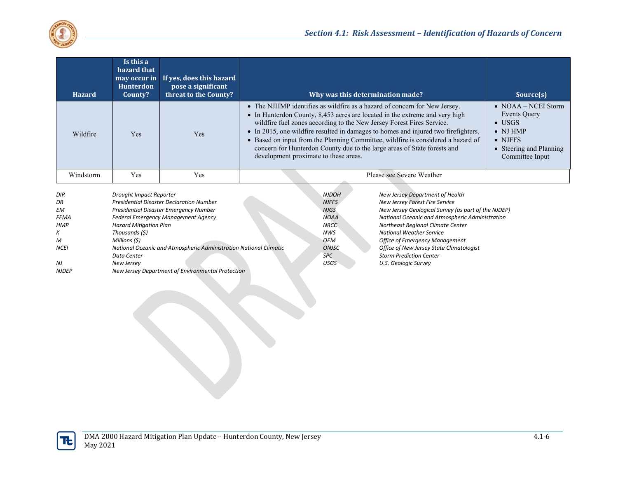

| <b>Hazard</b> | Is this a<br>hazard that<br>may occur in<br><b>Hunterdon</b><br>County? | If yes, does this hazard<br>pose a significant<br>threat to the County? | Why was this determination made?                                                                                                                                                                                                                                                                                                                                                                                                                                                                                                 | Source(s)                                                                                                                                                 |
|---------------|-------------------------------------------------------------------------|-------------------------------------------------------------------------|----------------------------------------------------------------------------------------------------------------------------------------------------------------------------------------------------------------------------------------------------------------------------------------------------------------------------------------------------------------------------------------------------------------------------------------------------------------------------------------------------------------------------------|-----------------------------------------------------------------------------------------------------------------------------------------------------------|
| Wildfire      | <b>Yes</b>                                                              | <b>Yes</b>                                                              | • The NJHMP identifies as wildfire as a hazard of concern for New Jersey.<br>• In Hunterdon County, 8,453 acres are located in the extreme and very high<br>wildfire fuel zones according to the New Jersey Forest Fires Service.<br>• In 2015, one wildfire resulted in damages to homes and injured two firefighters.<br>• Based on input from the Planning Committee, wildfire is considered a hazard of<br>concern for Hunterdon County due to the large areas of State forests and<br>development proximate to these areas. | $\bullet$ NOAA – NCEI Storm<br><b>Events Query</b><br>$\bullet$ USGS<br>$\bullet$ NJ HMP<br>$\bullet$ NJFFS<br>• Steering and Planning<br>Committee Input |
| Windstorm     | Yes                                                                     | Yes                                                                     | Please see Severe Weather                                                                                                                                                                                                                                                                                                                                                                                                                                                                                                        |                                                                                                                                                           |

| <b>DIR</b>   | Drought Impact Reporter                                           | <b>NJDOH</b> | New Jersey Department of Health                     |
|--------------|-------------------------------------------------------------------|--------------|-----------------------------------------------------|
| DR           | <b>Presidential Disaster Declaration Number</b>                   | <b>NJFFS</b> | New Jersey Forest Fire Service                      |
| EM           | Presidential Disaster Emergency Number                            | <b>NJGS</b>  | New Jersey Geological Survey (as part of the NJDEP) |
| <b>FEMA</b>  | <b>Federal Emergency Management Agency</b>                        | <b>NOAA</b>  | National Oceanic and Atmospheric Administration     |
| <b>HMP</b>   | <b>Hazard Mitigation Plan</b>                                     | <b>NRCC</b>  | Northeast Regional Climate Center                   |
| К            | Thousands (\$)                                                    | <b>NWS</b>   | <b>National Weather Service</b>                     |
| M            | Millions (\$)                                                     | <b>OEM</b>   | <b>Office of Emergency Management</b>               |
| <b>NCEI</b>  | National Oceanic and Atmospheric Administration National Climatic | <b>ONJSC</b> | Office of New Jersey State Climatologist            |
|              | Data Center                                                       | <b>SPC</b>   | <b>Storm Prediction Center</b>                      |
| NJ           | New Jersey                                                        | <b>USGS</b>  | U.S. Geologic Survey                                |
| <b>NJDEP</b> | New Jersey Department of Environmental Protection                 |              |                                                     |

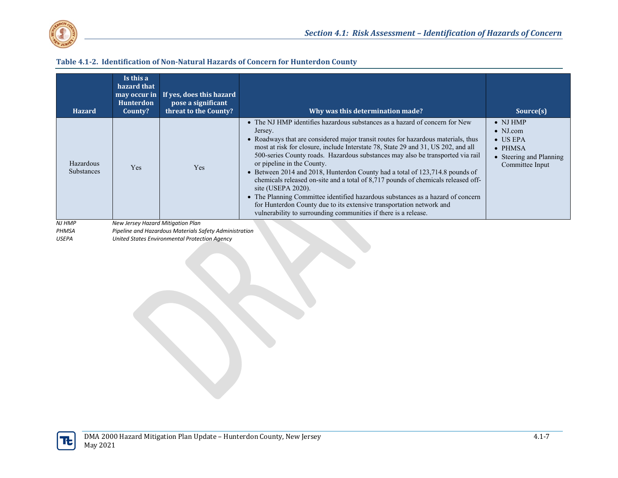

#### **Table 4.1-2. Identification of Non-Natural Hazards of Concern for Hunterdon County**

| • The NJ HMP identifies hazardous substances as a hazard of concern for New<br>$\bullet$ NJ HMP<br>$\bullet$ NJ.com<br>Jersey.<br>• Roadways that are considered major transit routes for hazardous materials, thus<br>$\bullet$ US EPA<br>most at risk for closure, include Interstate 78, State 29 and 31, US 202, and all<br>$\bullet$ PHMSA<br>500-series County roads. Hazardous substances may also be transported via rail<br>• Steering and Planning<br>or pipeline in the County.<br>Hazardous<br>Committee Input<br>Yes<br>Yes<br><b>Substances</b><br>• Between 2014 and 2018, Hunterdon County had a total of 123,714.8 pounds of<br>chemicals released on-site and a total of 8,717 pounds of chemicals released off-<br>site (USEPA $2020$ ).<br>• The Planning Committee identified hazardous substances as a hazard of concern<br>for Hunterdon County due to its extensive transportation network and<br>vulnerability to surrounding communities if there is a release. | <b>Hazard</b> | Is this a<br>hazard that<br>may occur in<br><b>Hunterdon</b><br>County? | If yes, does this hazard<br>pose a significant<br>threat to the County? | Why was this determination made? | Source(s) |
|-------------------------------------------------------------------------------------------------------------------------------------------------------------------------------------------------------------------------------------------------------------------------------------------------------------------------------------------------------------------------------------------------------------------------------------------------------------------------------------------------------------------------------------------------------------------------------------------------------------------------------------------------------------------------------------------------------------------------------------------------------------------------------------------------------------------------------------------------------------------------------------------------------------------------------------------------------------------------------------------|---------------|-------------------------------------------------------------------------|-------------------------------------------------------------------------|----------------------------------|-----------|
|                                                                                                                                                                                                                                                                                                                                                                                                                                                                                                                                                                                                                                                                                                                                                                                                                                                                                                                                                                                           |               |                                                                         |                                                                         |                                  |           |

*NJ HMP New Jersey Hazard Mitigation Plan*

*PHMSA Pipeline and Hazardous Materials Safety Administration* 

*United States Environmental Protection Agency*